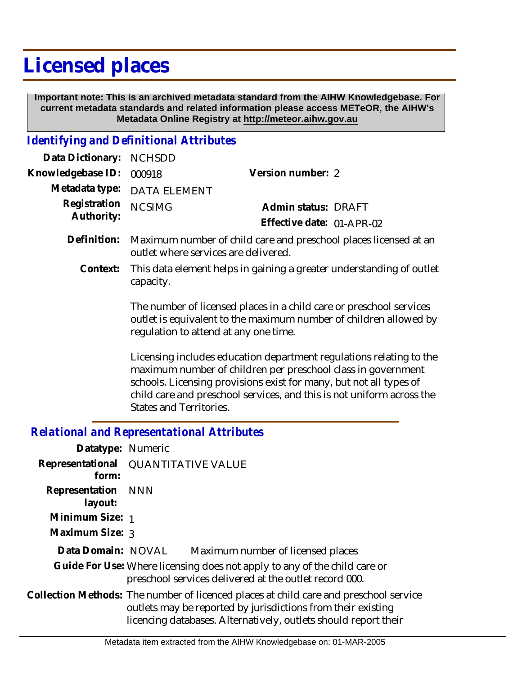## **Licensed places**

 **Important note: This is an archived metadata standard from the AIHW Knowledgebase. For current metadata standards and related information please access METeOR, the AIHW's Metadata Online Registry at http://meteor.aihw.gov.au**

## *Identifying and Definitional Attributes*

| Data Dictionary: NCHSDD  |                             |                           |  |
|--------------------------|-----------------------------|---------------------------|--|
| Knowledgebase ID: 000918 |                             | Version number: 2         |  |
|                          | Metadata type: DATA ELEMENT |                           |  |
| Registration NCSIMG      |                             | Admin status: DRAFT       |  |
| Authority:               |                             | Effective date: 01-APR-02 |  |
|                          |                             |                           |  |

- Definition: Maximum number of child care and preschool places licensed at an outlet where services are delivered.
	- This data element helps in gaining a greater understanding of outlet capacity. **Context:**

The number of licensed places in a child care or preschool services outlet is equivalent to the maximum number of children allowed by regulation to attend at any one time.

Licensing includes education department regulations relating to the maximum number of children per preschool class in government schools. Licensing provisions exist for many, but not all types of child care and preschool services, and this is not uniform across the States and Territories.

## *Relational and Representational Attributes*

| Datatype: Numeric             |                                                                                                                                                                                                                          |
|-------------------------------|--------------------------------------------------------------------------------------------------------------------------------------------------------------------------------------------------------------------------|
| form:                         | Representational QUANTITATIVE VALUE                                                                                                                                                                                      |
| Representation NNN<br>layout: |                                                                                                                                                                                                                          |
| Minimum Size: 1               |                                                                                                                                                                                                                          |
| Maximum Size: 3               |                                                                                                                                                                                                                          |
| Data Domain: NOVAL            | Maximum number of licensed places                                                                                                                                                                                        |
|                               | Guide For Use: Where licensing does not apply to any of the child care or<br>preschool services delivered at the outlet record 000.                                                                                      |
|                               | Collection Methods: The number of licenced places at child care and preschool service<br>outlets may be reported by jurisdictions from their existing<br>licencing databases. Alternatively, outlets should report their |
|                               |                                                                                                                                                                                                                          |